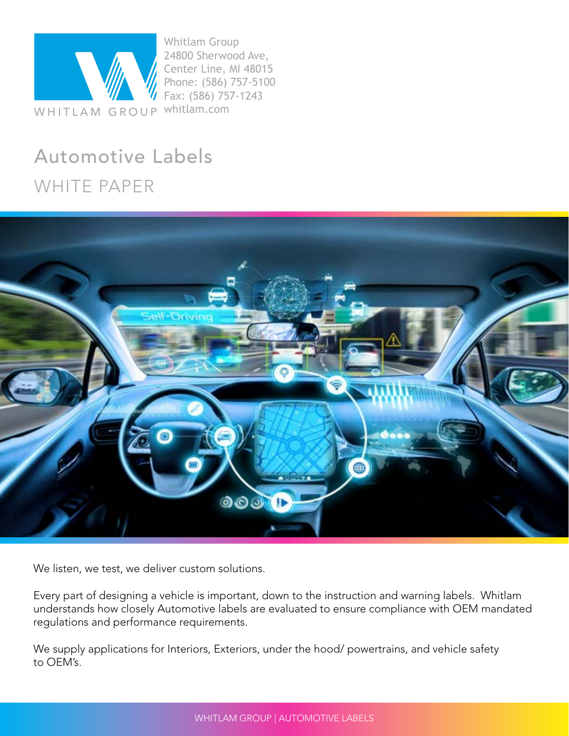

Whitlam Group 24800 Sherwood Ave, Center Line, MI 48015 Phone: (586) 757-5100 Fax: (586) 757-1243

#### Automotive Labels WHITE PAPER



We listen, we test, we deliver custom solutions.

Every part of designing a vehicle is important, down to the instruction and warning labels. Whitlam understands how closely Automotive labels are evaluated to ensure compliance with OEM mandated regulations and performance requirements.

We supply applications for Interiors, Exteriors, under the hood/ powertrains, and vehicle safety to OEM's.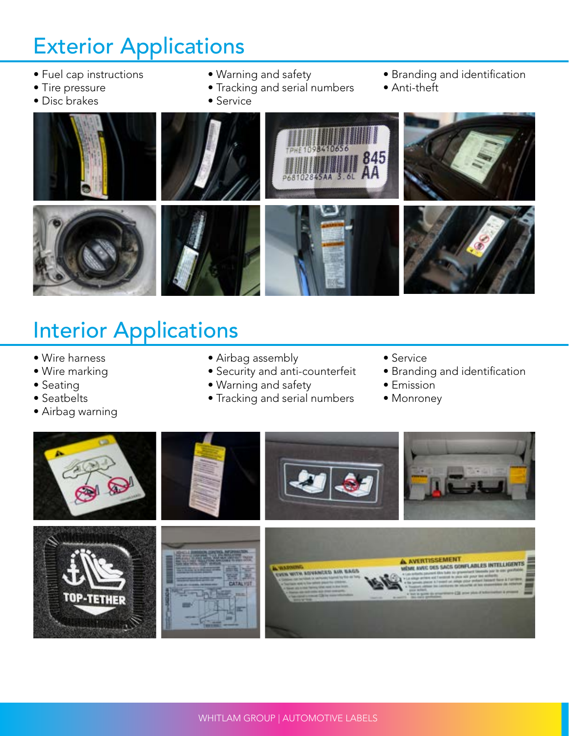## Exterior Applications

- Fuel cap instructions
- Tire pressure
- Disc brakes
- Warning and safety
- Tracking and serial numbers
- Service
- Branding and identification
- Anti-theft



## Interior Applications

- Wire harness
- Wire marking
- Seating
- Seatbelts
- Airbag warning
- Airbag assembly
- Security and anti-counterfeit
- Warning and safety
- Tracking and serial numbers
- Service
- Branding and identification
- Emission
- Monroney